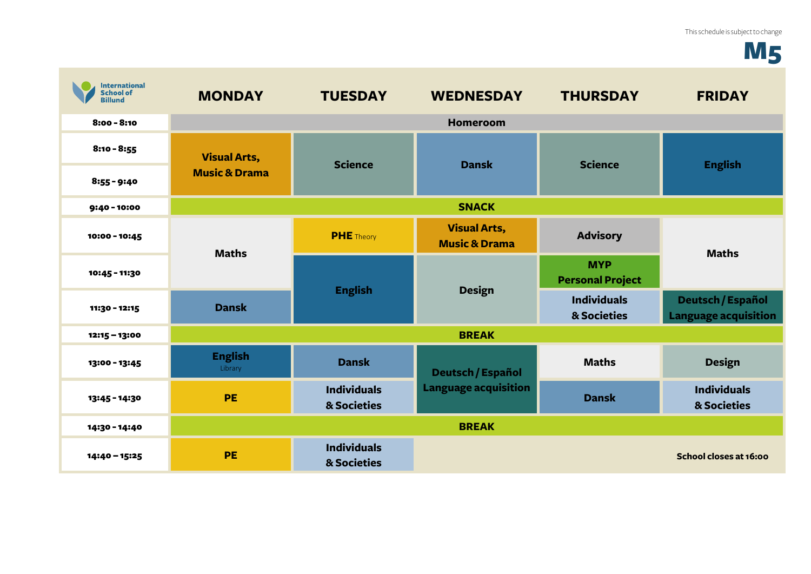## **M5**

| <b>International</b><br><b>School of</b><br><b>Billund</b> | <b>MONDAY</b>                                   | <b>TUESDAY</b>                    | <b>WEDNESDAY</b>                                        | <b>THURSDAY</b>                       | <b>FRIDAY</b>                                           |
|------------------------------------------------------------|-------------------------------------------------|-----------------------------------|---------------------------------------------------------|---------------------------------------|---------------------------------------------------------|
| $8:00 - 8:10$                                              |                                                 |                                   | <b>Homeroom</b>                                         |                                       |                                                         |
| $8:10 - 8:55$                                              | <b>Visual Arts,</b><br><b>Music &amp; Drama</b> | <b>Science</b>                    | <b>Dansk</b>                                            | <b>Science</b>                        | <b>English</b>                                          |
| $8:55 - 9:40$                                              |                                                 |                                   |                                                         |                                       |                                                         |
| 9:40 - 10:00                                               | <b>SNACK</b>                                    |                                   |                                                         |                                       |                                                         |
| 10:00 - 10:45                                              | <b>Maths</b>                                    | <b>PHE</b> Theory                 | <b>Visual Arts,</b><br><b>Music &amp; Drama</b>         | <b>Advisory</b>                       | <b>Maths</b>                                            |
| 10:45 - 11:30                                              |                                                 | <b>English</b>                    | <b>Design</b>                                           | <b>MYP</b><br><b>Personal Project</b> |                                                         |
| 11:30 - 12:15                                              | <b>Dansk</b>                                    |                                   |                                                         | <b>Individuals</b><br>& Societies     | <b>Deutsch / Español</b><br><b>Language acquisition</b> |
| 12:15 - 13:00                                              | <b>BREAK</b>                                    |                                   |                                                         |                                       |                                                         |
| 13:00 - 13:45                                              | <b>English</b><br>Library                       | <b>Dansk</b>                      | <b>Deutsch / Español</b><br><b>Language acquisition</b> | <b>Maths</b>                          | <b>Design</b>                                           |
| 13:45 - 14:30                                              | <b>PE</b>                                       | <b>Individuals</b><br>& Societies |                                                         | <b>Dansk</b>                          | <b>Individuals</b><br>& Societies                       |
| 14:30 - 14:40                                              |                                                 |                                   | <b>BREAK</b>                                            |                                       |                                                         |
| 14:40 - 15:25                                              | PE                                              | <b>Individuals</b><br>& Societies |                                                         |                                       | School closes at 16:00                                  |

**College**